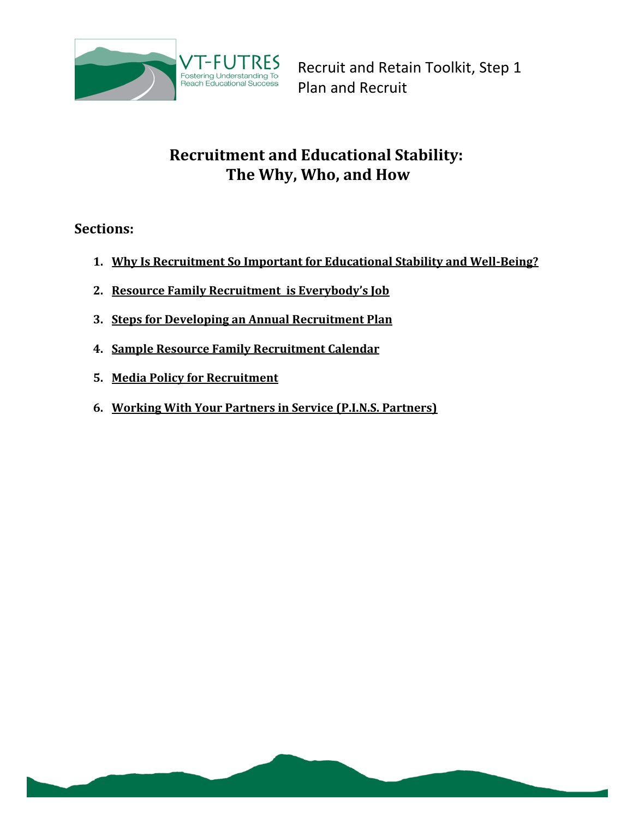

# **Recruitment and Educational Stability: The Why, Who, and How**

**Sections:**

- **1. [Why Is Recruitment So Important for Educational Stability and Well-Being?](#page-0-0)**
- **2. [Resource Family Recruitment is Everybody's Job](#page-2-0)**
- **3. [Steps for Developing an Annual Recruitment Plan](#page-3-0)**
- **4. [Sample Resource Family Recruitment Calendar](#page-3-1)**
- **5. [Media Policy for Recruitment](#page-7-0)**
- <span id="page-0-0"></span>**6. [Working With Your Partners in Service \(P.I.N.S. Partners\)](#page-8-0)**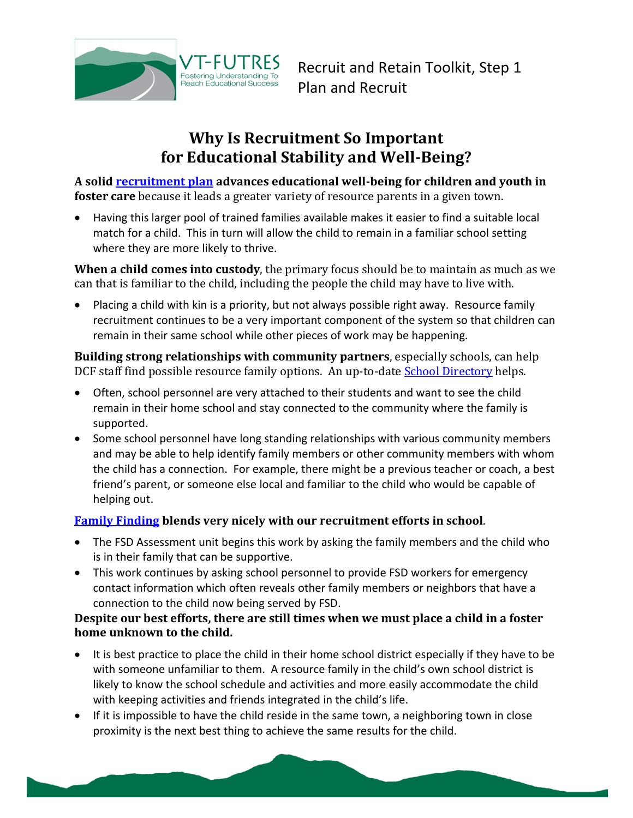

# **Why Is Recruitment So Important for Educational Stability and Well-Being?**

**A solid [recruitment plan](#page-3-0) advances educational well-being for children and youth in foster care** because it leads a greater variety of resource parents in a given town.

 Having this larger pool of trained families available makes it easier to find a suitable local match for a child. This in turn will allow the child to remain in a familiar school setting where they are more likely to thrive.

**When a child comes into custody**, the primary focus should be to maintain as much as we can that is familiar to the child, including the people the child may have to live with.

• Placing a child with kin is a priority, but not always possible right away. Resource family recruitment continues to be a very important component of the system so that children can remain in their same school while other pieces of work may be happening.

**Building strong relationships with community partners**, especially schools, can help DCF staff find possible resource family options. An up-to-date **School Directory** helps.

- Often, school personnel are very attached to their students and want to see the child remain in their home school and stay connected to the community where the family is supported.
- Some school personnel have long standing relationships with various community members and may be able to help identify family members or other community members with whom the child has a connection. For example, there might be a previous teacher or coach, a best friend's parent, or someone else local and familiar to the child who would be capable of helping out.

### **[Family Finding](http://vtfutres.org/wp-content/uploads/2013/10/SixSteps.pdf) blends very nicely with our recruitment efforts in school**.

- The FSD Assessment unit begins this work by asking the family members and the child who is in their family that can be supportive.
- This work continues by asking school personnel to provide FSD workers for emergency contact information which often reveals other family members or neighbors that have a connection to the child now being served by FSD.

#### **Despite our best efforts, there are still times when we must place a child in a foster home unknown to the child.**

- It is best practice to place the child in their home school district especially if they have to be with someone unfamiliar to them. A resource family in the child's own school district is likely to know the school schedule and activities and more easily accommodate the child with keeping activities and friends integrated in the child's life.
- If it is impossible to have the child reside in the same town, a neighboring town in close proximity is the next best thing to achieve the same results for the child.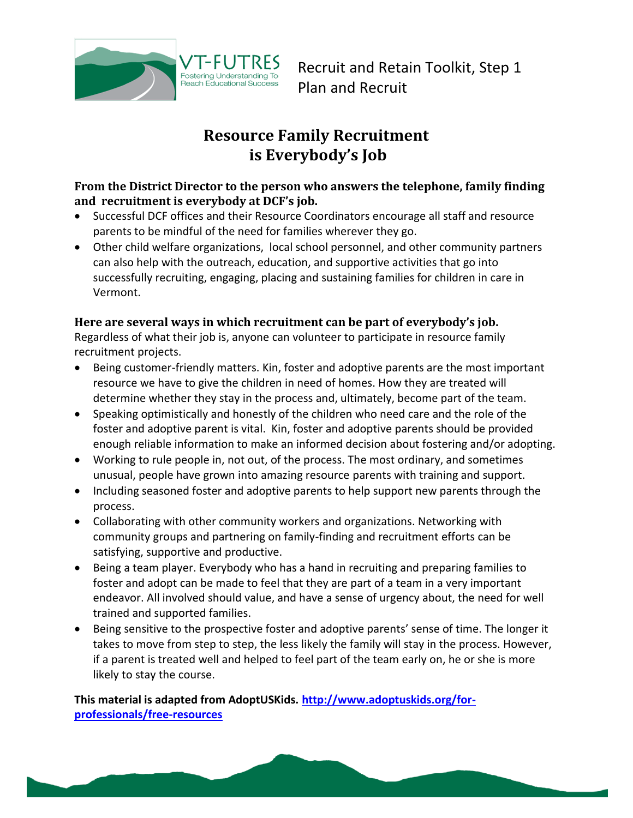

# **Resource Family Recruitment is Everybody's Job**

#### <span id="page-2-0"></span>**From the District Director to the person who answers the telephone, family finding and recruitment is everybody at DCF's job.**

- Successful DCF offices and their Resource Coordinators encourage all staff and resource parents to be mindful of the need for families wherever they go.
- Other child welfare organizations, local school personnel, and other community partners can also help with the outreach, education, and supportive activities that go into successfully recruiting, engaging, placing and sustaining families for children in care in Vermont.

#### **Here are several ways in which recruitment can be part of everybody's job.**

Regardless of what their job is, anyone can volunteer to participate in resource family recruitment projects.

- Being customer-friendly matters. Kin, foster and adoptive parents are the most important resource we have to give the children in need of homes. How they are treated will determine whether they stay in the process and, ultimately, become part of the team.
- Speaking optimistically and honestly of the children who need care and the role of the foster and adoptive parent is vital. Kin, foster and adoptive parents should be provided enough reliable information to make an informed decision about fostering and/or adopting.
- Working to rule people in, not out, of the process. The most ordinary, and sometimes unusual, people have grown into amazing resource parents with training and support.
- Including seasoned foster and adoptive parents to help support new parents through the process.
- Collaborating with other community workers and organizations. Networking with community groups and partnering on family-finding and recruitment efforts can be satisfying, supportive and productive.
- Being a team player. Everybody who has a hand in recruiting and preparing families to foster and adopt can be made to feel that they are part of a team in a very important endeavor. All involved should value, and have a sense of urgency about, the need for well trained and supported families.
- Being sensitive to the prospective foster and adoptive parents' sense of time. The longer it takes to move from step to step, the less likely the family will stay in the process. However, if a parent is treated well and helped to feel part of the team early on, he or she is more likely to stay the course.

**This material is adapted from AdoptUSKids. [http://www.adoptuskids.org/for](http://www.adoptuskids.org/for-professionals/free-resources)[professionals/free-resources](http://www.adoptuskids.org/for-professionals/free-resources)**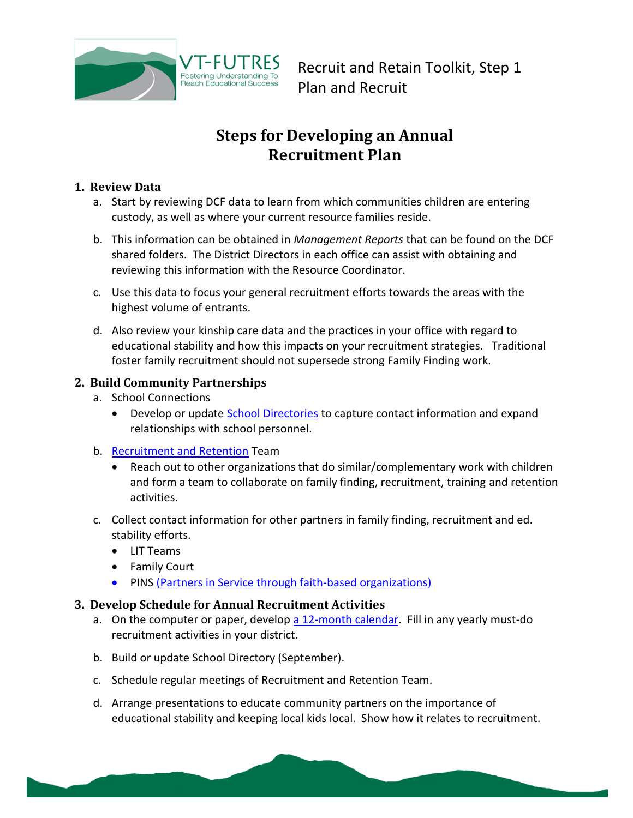

# <span id="page-3-1"></span>**Steps for Developing an Annual Recruitment Plan**

#### <span id="page-3-0"></span>**1. Review Data**

- a. Start by reviewing DCF data to learn from which communities children are entering custody, as well as where your current resource families reside.
- b. This information can be obtained in *Management Reports* that can be found on the DCF shared folders. The District Directors in each office can assist with obtaining and reviewing this information with the Resource Coordinator.
- c. Use this data to focus your general recruitment efforts towards the areas with the highest volume of entrants.
- d. Also review your kinship care data and the practices in your office with regard to educational stability and how this impacts on your recruitment strategies. Traditional foster family recruitment should not supersede strong Family Finding work.

### **2. Build Community Partnerships**

- a. School Connections
	- Develop or update *School Directories* to capture contact information and expand relationships with school personnel.
- b. [Recruitment and Retention](http://vtfutres.org/wp-content/uploads/2013/12/1-G06-Forming-Teams-Intro.pdf) Team
	- Reach out to other organizations that do similar/complementary work with children and form a team to collaborate on family finding, recruitment, training and retention activities.
- c. Collect contact information for other partners in family finding, recruitment and ed. stability efforts.
	- LIT Teams
	- Family Court
	- PINS [\(Partners in Service through faith-based organizations\)](#page-8-0)

#### **3. Develop Schedule for Annual Recruitment Activities**

- a. On the computer or paper, develop [a 12-month calendar.](#page-3-1) Fill in any yearly must-do recruitment activities in your district.
- b. Build or update School Directory (September).
- c. Schedule regular meetings of Recruitment and Retention Team.
- d. Arrange presentations to educate community partners on the importance of educational stability and keeping local kids local. Show how it relates to recruitment.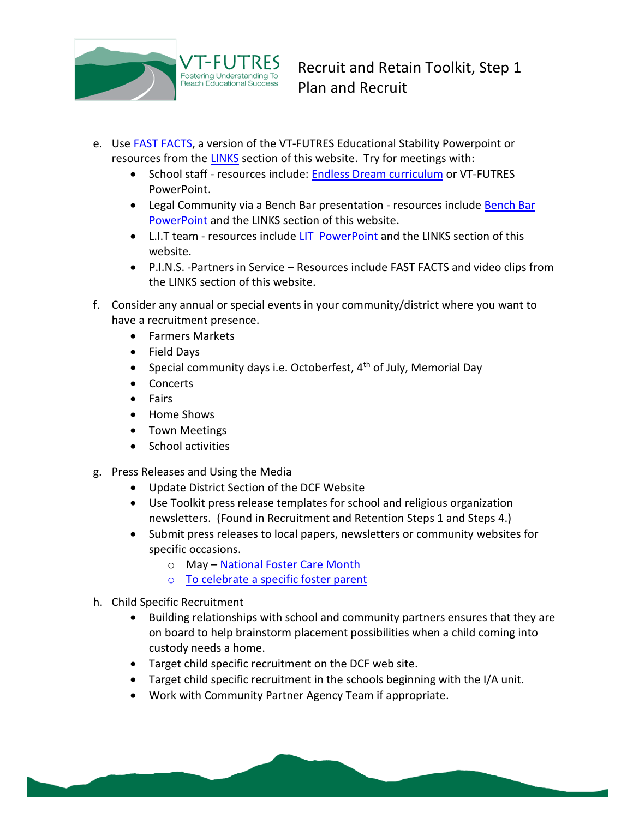

- e. Use [FAST FACTS,](http://vtfutres.org/wp-content/uploads/2013/12/FAST-FACTS-General.pdf) a version of the VT-FUTRES Educational Stability Powerpoint or resources from the [LINKS](http://vtfutres.org/links-resources/) section of this website. Try for meetings with:
	- School staff resources include: [Endless Dream curriculum](http://vtfutres.org/wp-content/uploads/2013/10/Endless-Dreams-Manual_Print.pdf) or VT-FUTRES PowerPoint.
	- Legal Community via a Bench Bar presentation resources include [Bench Bar](http://vtfutres.org/wp-content/uploads/2014/01/Bench-Bars-10.16.13.ppt)  [PowerPoint](http://vtfutres.org/wp-content/uploads/2014/01/Bench-Bars-10.16.13.ppt) and the LINKS section of this website.
	- L.I.T team resources include [LIT PowerPoint](http://vtfutres.org/wp-content/uploads/2014/01/5-E08LIT.ppt) and the LINKS section of this website.
	- P.I.N.S. -Partners in Service Resources include FAST FACTS and video clips from the LINKS section of this website.
- f. Consider any annual or special events in your community/district where you want to have a recruitment presence.
	- Farmers Markets
	- Field Days
	- Special community days i.e. Octoberfest,  $4<sup>th</sup>$  of July, Memorial Day
	- Concerts
	- Fairs
	- Home Shows
	- Town Meetings
	- School activities
- g. Press Releases and Using the Media
	- Update District Section of the DCF Website
	- Use Toolkit press release templates for school and religious organization newsletters. (Found in Recruitment and Retention Steps 1 and Steps 4.)
	- Submit press releases to local papers, newsletters or community websites for specific occasions.
		- o May [National Foster Care Month](http://vtfutres.org/wp-content/uploads/2014/01/2-R45-May-Is-National-Foster-Care-Month.pdf)
		- o [To celebrate a specific foster parent](http://vtfutres.org/wp-content/uploads/2014/01/2-R44-Resource-Parent-Spotlight.pdf)
- h. Child Specific Recruitment
	- Building relationships with school and community partners ensures that they are on board to help brainstorm placement possibilities when a child coming into custody needs a home.
	- Target child specific recruitment on the DCF web site.
	- Target child specific recruitment in the schools beginning with the I/A unit.
	- Work with Community Partner Agency Team if appropriate.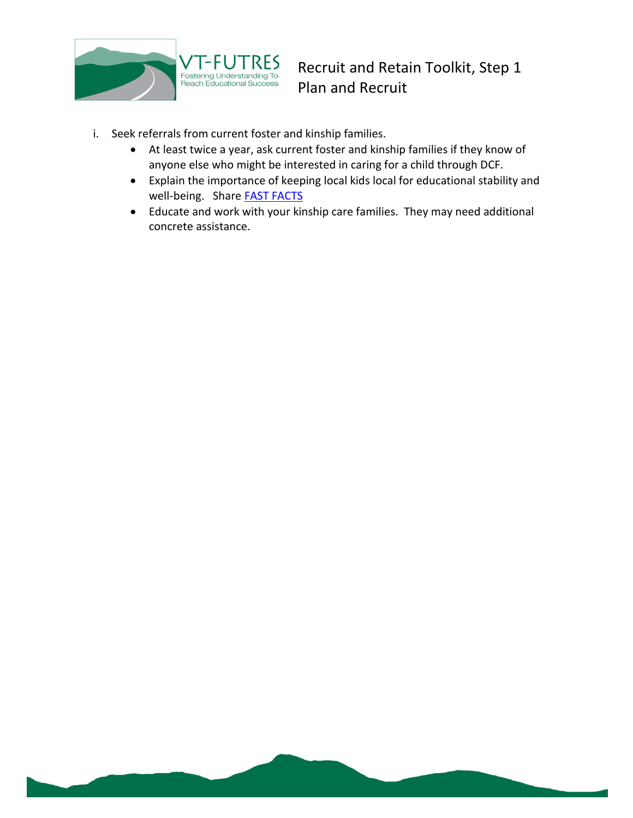

- i. Seek referrals from current foster and kinship families.
	- At least twice a year, ask current foster and kinship families if they know of anyone else who might be interested in caring for a child through DCF.
	- Explain the importance of keeping local kids local for educational stability and well-being. Share **FAST FACTS**
	- Educate and work with your kinship care families. They may need additional concrete assistance.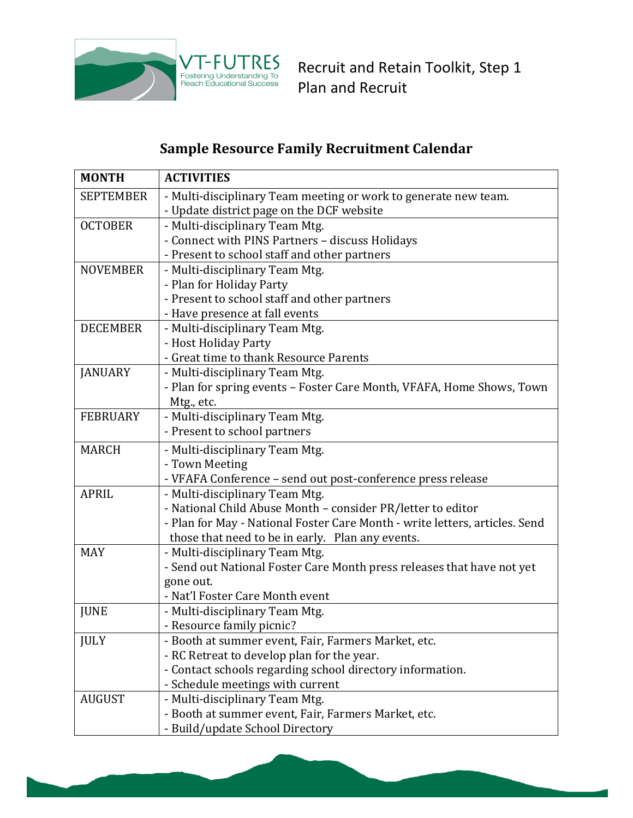

# **Sample Resource Family Recruitment Calendar**

| <b>MONTH</b>     | <b>ACTIVITIES</b>                                                           |
|------------------|-----------------------------------------------------------------------------|
| <b>SEPTEMBER</b> | - Multi-disciplinary Team meeting or work to generate new team.             |
|                  | - Update district page on the DCF website                                   |
| <b>OCTOBER</b>   | - Multi-disciplinary Team Mtg.                                              |
|                  | - Connect with PINS Partners - discuss Holidays                             |
|                  | - Present to school staff and other partners                                |
| <b>NOVEMBER</b>  | - Multi-disciplinary Team Mtg.                                              |
|                  | - Plan for Holiday Party                                                    |
|                  | - Present to school staff and other partners                                |
|                  | - Have presence at fall events                                              |
| <b>DECEMBER</b>  | - Multi-disciplinary Team Mtg.                                              |
|                  | - Host Holiday Party                                                        |
|                  | - Great time to thank Resource Parents                                      |
| <b>JANUARY</b>   | - Multi-disciplinary Team Mtg.                                              |
|                  | - Plan for spring events - Foster Care Month, VFAFA, Home Shows, Town       |
|                  | Mtg., etc.                                                                  |
| <b>FEBRUARY</b>  | - Multi-disciplinary Team Mtg.                                              |
|                  | - Present to school partners                                                |
| <b>MARCH</b>     | - Multi-disciplinary Team Mtg.                                              |
|                  | - Town Meeting                                                              |
|                  | - VFAFA Conference - send out post-conference press release                 |
| <b>APRIL</b>     | - Multi-disciplinary Team Mtg.                                              |
|                  | - National Child Abuse Month - consider PR/letter to editor                 |
|                  | - Plan for May - National Foster Care Month - write letters, articles. Send |
|                  | those that need to be in early. Plan any events.                            |
| <b>MAY</b>       | - Multi-disciplinary Team Mtg.                                              |
|                  | - Send out National Foster Care Month press releases that have not yet      |
|                  | gone out.                                                                   |
|                  | - Nat'l Foster Care Month event                                             |
| <b>JUNE</b>      | - Multi-disciplinary Team Mtg.                                              |
|                  | - Resource family picnic?                                                   |
| <b>JULY</b>      | - Booth at summer event, Fair, Farmers Market, etc.                         |
|                  | - RC Retreat to develop plan for the year.                                  |
|                  | - Contact schools regarding school directory information.                   |
|                  | - Schedule meetings with current                                            |
| <b>AUGUST</b>    | - Multi-disciplinary Team Mtg.                                              |
|                  | - Booth at summer event, Fair, Farmers Market, etc.                         |
|                  | - Build/update School Directory                                             |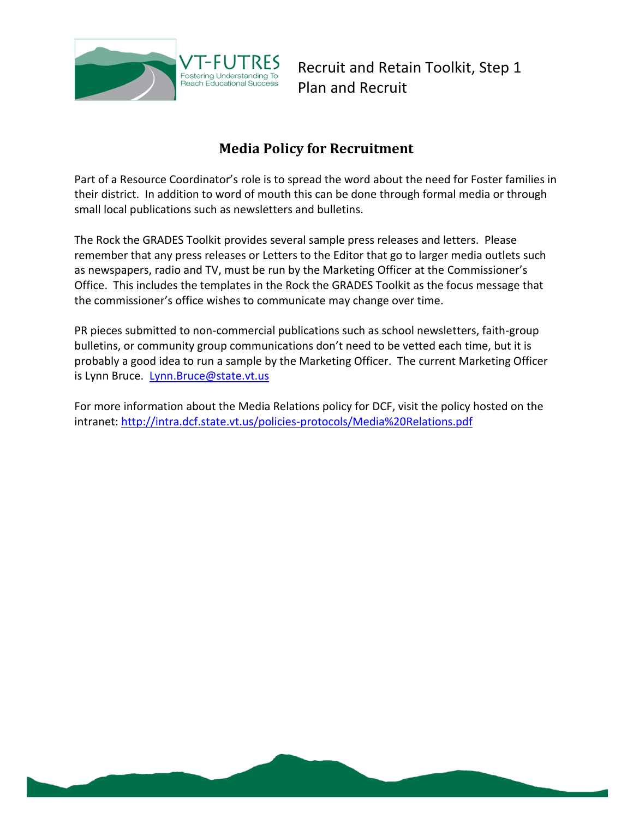

## **Media Policy for Recruitment**

<span id="page-7-0"></span>Part of a Resource Coordinator's role is to spread the word about the need for Foster families in their district. In addition to word of mouth this can be done through formal media or through small local publications such as newsletters and bulletins.

The Rock the GRADES Toolkit provides several sample press releases and letters. Please remember that any press releases or Letters to the Editor that go to larger media outlets such as newspapers, radio and TV, must be run by the Marketing Officer at the Commissioner's Office. This includes the templates in the Rock the GRADES Toolkit as the focus message that the commissioner's office wishes to communicate may change over time.

PR pieces submitted to non-commercial publications such as school newsletters, faith-group bulletins, or community group communications don't need to be vetted each time, but it is probably a good idea to run a sample by the Marketing Officer. The current Marketing Officer is Lynn Bruce. [Lynn.Bruce@state.vt.us](mailto:Lynn.Bruce@state.vt.us)

For more information about the Media Relations policy for DCF, visit the policy hosted on the intranet:<http://intra.dcf.state.vt.us/policies-protocols/Media%20Relations.pdf>